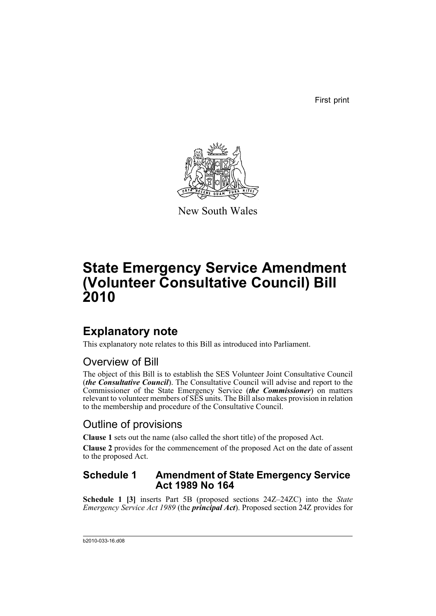First print



New South Wales

# **State Emergency Service Amendment (Volunteer Consultative Council) Bill 2010**

## **Explanatory note**

This explanatory note relates to this Bill as introduced into Parliament.

## Overview of Bill

The object of this Bill is to establish the SES Volunteer Joint Consultative Council (*the Consultative Council*). The Consultative Council will advise and report to the Commissioner of the State Emergency Service (*the Commissioner*) on matters relevant to volunteer members of SES units. The Bill also makes provision in relation to the membership and procedure of the Consultative Council.

## Outline of provisions

**Clause 1** sets out the name (also called the short title) of the proposed Act.

**Clause 2** provides for the commencement of the proposed Act on the date of assent to the proposed Act.

### **Schedule 1 Amendment of State Emergency Service Act 1989 No 164**

**Schedule 1 [3]** inserts Part 5B (proposed sections 24Z–24ZC) into the *State Emergency Service Act 1989* (the *principal Act*). Proposed section 24Z provides for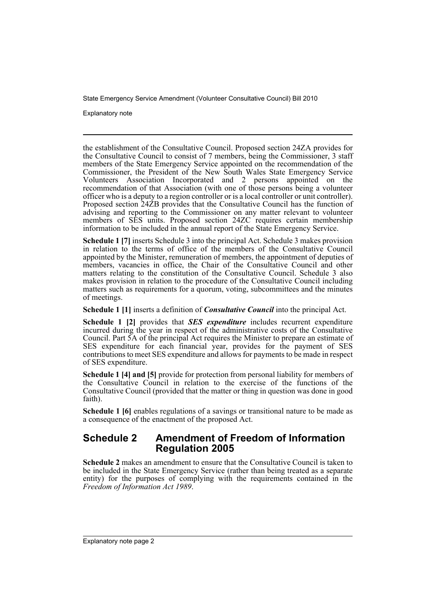Explanatory note

the establishment of the Consultative Council. Proposed section 24ZA provides for the Consultative Council to consist of 7 members, being the Commissioner, 3 staff members of the State Emergency Service appointed on the recommendation of the Commissioner, the President of the New South Wales State Emergency Service Volunteers Association Incorporated and 2 persons appointed on the recommendation of that Association (with one of those persons being a volunteer officer who is a deputy to a region controller or is a local controller or unit controller). Proposed section 24ZB provides that the Consultative Council has the function of advising and reporting to the Commissioner on any matter relevant to volunteer members of SES units. Proposed section 24ZC requires certain membership information to be included in the annual report of the State Emergency Service.

**Schedule 1 [7]** inserts Schedule 3 into the principal Act. Schedule 3 makes provision in relation to the terms of office of the members of the Consultative Council appointed by the Minister, remuneration of members, the appointment of deputies of members, vacancies in office, the Chair of the Consultative Council and other matters relating to the constitution of the Consultative Council. Schedule 3 also makes provision in relation to the procedure of the Consultative Council including matters such as requirements for a quorum, voting, subcommittees and the minutes of meetings.

**Schedule 1 [1]** inserts a definition of *Consultative Council* into the principal Act.

**Schedule 1 [2]** provides that *SES expenditure* includes recurrent expenditure incurred during the year in respect of the administrative costs of the Consultative Council. Part 5A of the principal Act requires the Minister to prepare an estimate of SES expenditure for each financial year, provides for the payment of SES contributions to meet SES expenditure and allows for payments to be made in respect of SES expenditure.

**Schedule 1 [4] and [5]** provide for protection from personal liability for members of the Consultative Council in relation to the exercise of the functions of the Consultative Council (provided that the matter or thing in question was done in good faith).

**Schedule 1 [6]** enables regulations of a savings or transitional nature to be made as a consequence of the enactment of the proposed Act.

## **Schedule 2 Amendment of Freedom of Information Regulation 2005**

**Schedule 2** makes an amendment to ensure that the Consultative Council is taken to be included in the State Emergency Service (rather than being treated as a separate entity) for the purposes of complying with the requirements contained in the *Freedom of Information Act 1989*.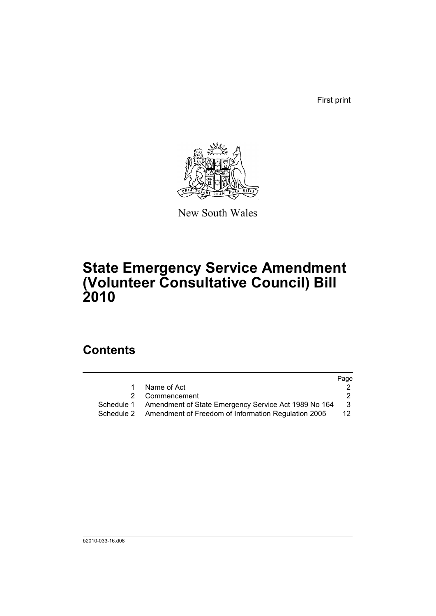First print



New South Wales

# **State Emergency Service Amendment (Volunteer Consultative Council) Bill 2010**

## **Contents**

|                                                     | Page                                                                               |
|-----------------------------------------------------|------------------------------------------------------------------------------------|
| Name of Act                                         |                                                                                    |
| Commencement                                        |                                                                                    |
|                                                     | 3                                                                                  |
| Amendment of Freedom of Information Regulation 2005 | 12 <sup>°</sup>                                                                    |
|                                                     | 2<br>Schedule 1 Amendment of State Emergency Service Act 1989 No 164<br>Schedule 2 |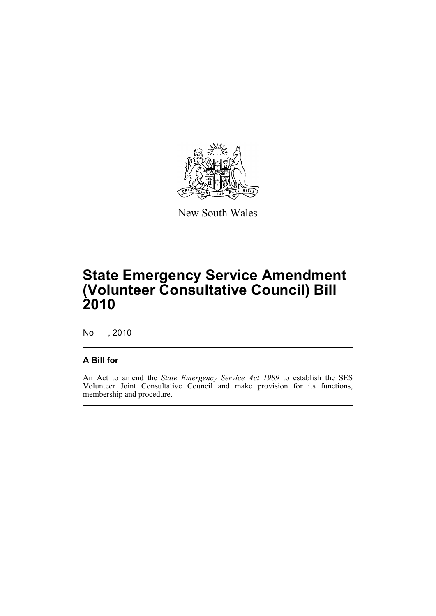

New South Wales

# **State Emergency Service Amendment (Volunteer Consultative Council) Bill 2010**

No , 2010

### **A Bill for**

An Act to amend the *State Emergency Service Act 1989* to establish the SES Volunteer Joint Consultative Council and make provision for its functions, membership and procedure.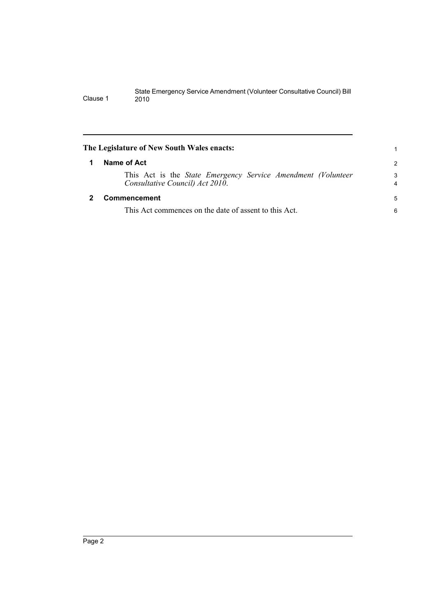<span id="page-5-1"></span><span id="page-5-0"></span>

|   | The Legislature of New South Wales enacts:                                                               |                     |
|---|----------------------------------------------------------------------------------------------------------|---------------------|
| 1 | Name of Act                                                                                              | $\overline{2}$      |
|   | This Act is the <i>State Emergency Service Amendment (Volunteer</i> )<br>Consultative Council) Act 2010. | 3<br>$\overline{4}$ |
|   | <b>Commencement</b>                                                                                      | 5                   |
|   | This Act commences on the date of assent to this Act.                                                    | 6                   |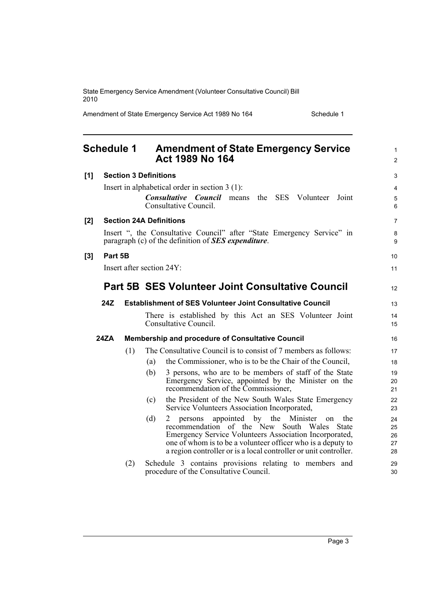Amendment of State Emergency Service Act 1989 No 164 Schedule 1

<span id="page-6-0"></span>

|     | <b>Schedule 1</b> |     |                                | <b>Amendment of State Emergency Service</b><br>Act 1989 No 164                                                                                                                                                                                                                             | $\mathbf{1}$<br>$\overline{2}$ |
|-----|-------------------|-----|--------------------------------|--------------------------------------------------------------------------------------------------------------------------------------------------------------------------------------------------------------------------------------------------------------------------------------------|--------------------------------|
| [1] |                   |     | <b>Section 3 Definitions</b>   |                                                                                                                                                                                                                                                                                            | 3                              |
|     |                   |     |                                | Insert in alphabetical order in section $3(1)$ :<br><b>Consultative Council</b><br>means the SES Volunteer<br>Joint<br>Consultative Council.                                                                                                                                               | 4<br>5<br>6                    |
| [2] |                   |     | <b>Section 24A Definitions</b> |                                                                                                                                                                                                                                                                                            | $\overline{7}$                 |
|     |                   |     |                                | Insert ", the Consultative Council" after "State Emergency Service" in<br>paragraph (c) of the definition of <b>SES</b> expenditure.                                                                                                                                                       | 8<br>9                         |
| [3] | Part 5B           |     |                                |                                                                                                                                                                                                                                                                                            | 10                             |
|     |                   |     | Insert after section 24Y:      |                                                                                                                                                                                                                                                                                            | 11                             |
|     |                   |     |                                | <b>Part 5B SES Volunteer Joint Consultative Council</b>                                                                                                                                                                                                                                    | 12                             |
|     | 24Z               |     |                                | <b>Establishment of SES Volunteer Joint Consultative Council</b>                                                                                                                                                                                                                           | 13                             |
|     |                   |     |                                | There is established by this Act an SES Volunteer Joint<br>Consultative Council.                                                                                                                                                                                                           | 14<br>15                       |
|     | 24ZA              |     |                                | Membership and procedure of Consultative Council                                                                                                                                                                                                                                           | 16                             |
|     |                   | (1) |                                | The Consultative Council is to consist of 7 members as follows:                                                                                                                                                                                                                            | 17                             |
|     |                   |     | (a)                            | the Commissioner, who is to be the Chair of the Council,                                                                                                                                                                                                                                   | 18                             |
|     |                   |     | (b)                            | 3 persons, who are to be members of staff of the State<br>Emergency Service, appointed by the Minister on the<br>recommendation of the Commissioner,                                                                                                                                       | 19<br>20<br>21                 |
|     |                   |     | (c)                            | the President of the New South Wales State Emergency<br>Service Volunteers Association Incorporated,                                                                                                                                                                                       | 22<br>23                       |
|     |                   |     | (d)                            | appointed by the Minister on<br>persons<br>the<br>recommendation of the New South Wales State<br>Emergency Service Volunteers Association Incorporated,<br>one of whom is to be a volunteer officer who is a deputy to<br>a region controller or is a local controller or unit controller. | 24<br>25<br>26<br>27<br>28     |
|     |                   | (2) |                                | Schedule 3 contains provisions relating to members and<br>procedure of the Consultative Council.                                                                                                                                                                                           | 29<br>30                       |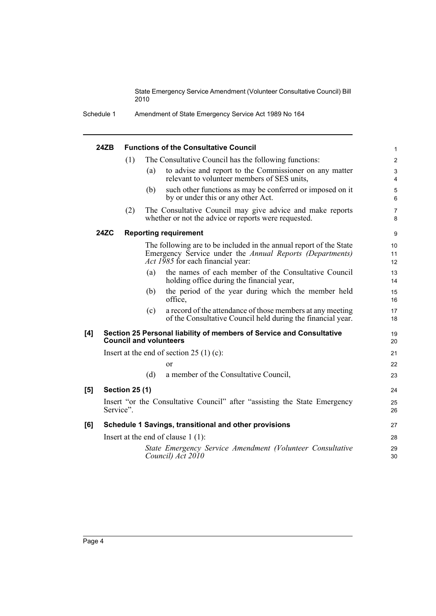| Schedule 1 | Amendment of State Emergency Service Act 1989 No 164 |
|------------|------------------------------------------------------|
|            |                                                      |

|     | 24ZB        |                       |     | <b>Functions of the Consultative Council</b>                                                                                                                        | $\mathbf{1}$                 |
|-----|-------------|-----------------------|-----|---------------------------------------------------------------------------------------------------------------------------------------------------------------------|------------------------------|
|     |             | (1)                   |     | The Consultative Council has the following functions:                                                                                                               | $\overline{2}$               |
|     |             |                       | (a) | to advise and report to the Commissioner on any matter<br>relevant to volunteer members of SES units,                                                               | 3<br>$\overline{\mathbf{4}}$ |
|     |             |                       | (b) | such other functions as may be conferred or imposed on it<br>by or under this or any other Act.                                                                     | 5<br>6                       |
|     |             | (2)                   |     | The Consultative Council may give advice and make reports<br>whether or not the advice or reports were requested.                                                   | $\overline{7}$<br>8          |
|     | <b>24ZC</b> |                       |     | <b>Reporting requirement</b>                                                                                                                                        | 9                            |
|     |             |                       |     | The following are to be included in the annual report of the State<br>Emergency Service under the Annual Reports (Departments)<br>Act 1985 for each financial year: | 10<br>11<br>12               |
|     |             |                       | (a) | the names of each member of the Consultative Council<br>holding office during the financial year,                                                                   | 13<br>14                     |
|     |             |                       | (b) | the period of the year during which the member held<br>office,                                                                                                      | 15<br>16                     |
|     |             |                       | (c) | a record of the attendance of those members at any meeting<br>of the Consultative Council held during the financial year.                                           | 17<br>18                     |
| [4] |             |                       |     | Section 25 Personal liability of members of Service and Consultative<br><b>Council and volunteers</b>                                                               | 19<br>20                     |
|     |             |                       |     | Insert at the end of section $25(1)(c)$ :                                                                                                                           | 21                           |
|     |             |                       |     | or                                                                                                                                                                  | 22                           |
|     |             |                       | (d) | a member of the Consultative Council,                                                                                                                               | 23                           |
| [5] |             | <b>Section 25 (1)</b> |     |                                                                                                                                                                     | 24                           |
|     | Service".   |                       |     | Insert "or the Consultative Council" after "assisting the State Emergency                                                                                           | 25<br>26                     |
| [6] |             |                       |     | Schedule 1 Savings, transitional and other provisions                                                                                                               | 27                           |
|     |             |                       |     | Insert at the end of clause $1(1)$ :                                                                                                                                | 28                           |
|     |             |                       |     | State Emergency Service Amendment (Volunteer Consultative<br>Council) Act 2010                                                                                      | 29<br>30                     |
|     |             |                       |     |                                                                                                                                                                     |                              |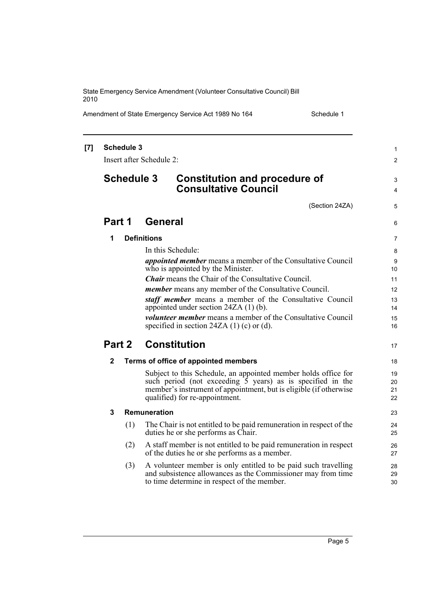Amendment of State Emergency Service Act 1989 No 164 Schedule 1

| $[7]$ | <b>Schedule 3</b><br>Insert after Schedule 2: |     |                     |                                                                                                                                                                                                                                                  | 1<br>$\overline{2}$  |
|-------|-----------------------------------------------|-----|---------------------|--------------------------------------------------------------------------------------------------------------------------------------------------------------------------------------------------------------------------------------------------|----------------------|
|       | <b>Schedule 3</b>                             |     |                     | <b>Constitution and procedure of</b><br><b>Consultative Council</b>                                                                                                                                                                              | 3<br>4               |
|       |                                               |     |                     | (Section 24ZA)                                                                                                                                                                                                                                   | 5                    |
|       | Part 1                                        |     | <b>General</b>      |                                                                                                                                                                                                                                                  | 6                    |
|       | 1                                             |     | <b>Definitions</b>  |                                                                                                                                                                                                                                                  | 7                    |
|       |                                               |     |                     | In this Schedule:                                                                                                                                                                                                                                | 8                    |
|       |                                               |     |                     | <i>appointed member</i> means a member of the Consultative Council<br>who is appointed by the Minister.                                                                                                                                          | 9<br>10              |
|       |                                               |     |                     | <b>Chair</b> means the Chair of the Consultative Council.                                                                                                                                                                                        | 11                   |
|       |                                               |     |                     | <i>member</i> means any member of the Consultative Council.                                                                                                                                                                                      | 12                   |
|       |                                               |     |                     | staff member means a member of the Consultative Council<br>appointed under section $24ZA(1)$ (b).                                                                                                                                                | 13<br>14             |
|       |                                               |     |                     | <i>volunteer member</i> means a member of the Consultative Council<br>specified in section 24ZA $(1)$ (c) or (d).                                                                                                                                | 15<br>16             |
|       | Part 2                                        |     |                     | <b>Constitution</b>                                                                                                                                                                                                                              | 17                   |
|       | $\mathbf{2}$                                  |     |                     | Terms of office of appointed members                                                                                                                                                                                                             | 18                   |
|       |                                               |     |                     | Subject to this Schedule, an appointed member holds office for<br>such period (not exceeding $\overline{5}$ years) as is specified in the<br>member's instrument of appointment, but is eligible (if otherwise<br>qualified) for re-appointment. | 19<br>20<br>21<br>22 |
|       | 3                                             |     | <b>Remuneration</b> |                                                                                                                                                                                                                                                  | 23                   |
|       |                                               | (1) |                     | The Chair is not entitled to be paid remuneration in respect of the<br>duties he or she performs as Chair.                                                                                                                                       | 24<br>25             |
|       |                                               | (2) |                     | A staff member is not entitled to be paid remuneration in respect<br>of the duties he or she performs as a member.                                                                                                                               | 26<br>27             |
|       |                                               | (3) |                     | A volunteer member is only entitled to be paid such travelling<br>and subsistence allowances as the Commissioner may from time<br>to time determine in respect of the member.                                                                    | 28<br>29<br>30       |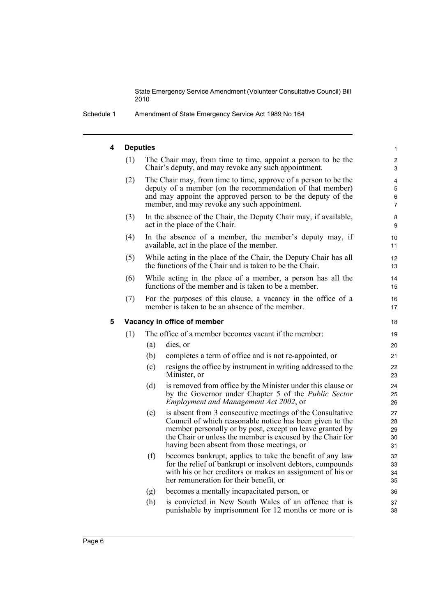Schedule 1 Amendment of State Emergency Service Act 1989 No 164

### **4 Deputies**

| 4 | <b>Deputies</b> |     |                                                                                                                                                                                                                                                                                               | $\mathbf{1}$                               |
|---|-----------------|-----|-----------------------------------------------------------------------------------------------------------------------------------------------------------------------------------------------------------------------------------------------------------------------------------------------|--------------------------------------------|
|   | (1)             |     | The Chair may, from time to time, appoint a person to be the<br>Chair's deputy, and may revoke any such appointment.                                                                                                                                                                          | $\overline{c}$<br>3                        |
|   | (2)             |     | The Chair may, from time to time, approve of a person to be the<br>deputy of a member (on the recommendation of that member)<br>and may appoint the approved person to be the deputy of the<br>member, and may revoke any such appointment.                                                   | $\overline{4}$<br>5<br>6<br>$\overline{7}$ |
|   | (3)             |     | In the absence of the Chair, the Deputy Chair may, if available,<br>act in the place of the Chair.                                                                                                                                                                                            | 8<br>9                                     |
|   | (4)             |     | In the absence of a member, the member's deputy may, if<br>available, act in the place of the member.                                                                                                                                                                                         | 10<br>11                                   |
|   | (5)             |     | While acting in the place of the Chair, the Deputy Chair has all<br>the functions of the Chair and is taken to be the Chair.                                                                                                                                                                  | 12<br>13                                   |
|   | (6)             |     | While acting in the place of a member, a person has all the<br>functions of the member and is taken to be a member.                                                                                                                                                                           | 14<br>15                                   |
|   | (7)             |     | For the purposes of this clause, a vacancy in the office of a<br>member is taken to be an absence of the member.                                                                                                                                                                              | 16<br>17                                   |
| 5 |                 |     | Vacancy in office of member                                                                                                                                                                                                                                                                   | 18                                         |
|   | (1)             |     | The office of a member becomes vacant if the member:                                                                                                                                                                                                                                          | 19                                         |
|   |                 | (a) | dies, or                                                                                                                                                                                                                                                                                      | 20                                         |
|   |                 | (b) | completes a term of office and is not re-appointed, or                                                                                                                                                                                                                                        | 21                                         |
|   |                 | (c) | resigns the office by instrument in writing addressed to the<br>Minister, or                                                                                                                                                                                                                  | 22<br>23                                   |
|   |                 | (d) | is removed from office by the Minister under this clause or<br>by the Governor under Chapter 5 of the Public Sector<br>Employment and Management Act 2002, or                                                                                                                                 | 24<br>25<br>26                             |
|   |                 | (e) | is absent from 3 consecutive meetings of the Consultative<br>Council of which reasonable notice has been given to the<br>member personally or by post, except on leave granted by<br>the Chair or unless the member is excused by the Chair for<br>having been absent from those meetings, or | 27<br>28<br>29<br>30<br>31                 |
|   |                 | (f) | becomes bankrupt, applies to take the benefit of any law<br>for the relief of bankrupt or insolvent debtors, compounds<br>with his or her creditors or makes an assignment of his or<br>her remuneration for their benefit, or                                                                | 32<br>33<br>34<br>35                       |
|   |                 | (g) | becomes a mentally incapacitated person, or                                                                                                                                                                                                                                                   | 36                                         |
|   |                 | (h) | is convicted in New South Wales of an offence that is<br>punishable by imprisonment for 12 months or more or is                                                                                                                                                                               | 37<br>38                                   |
|   |                 |     |                                                                                                                                                                                                                                                                                               |                                            |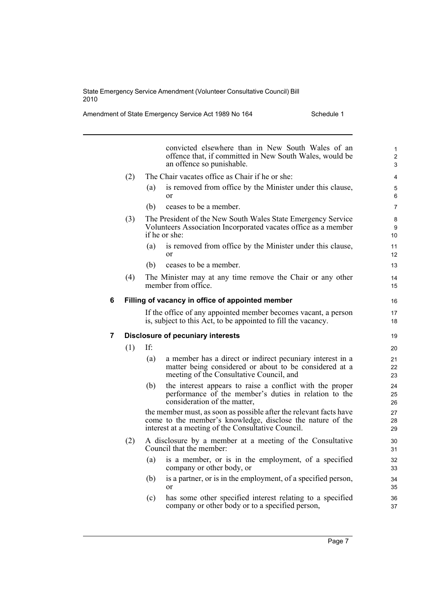Amendment of State Emergency Service Act 1989 No 164 Schedule 1

|   |     |     | convicted elsewhere than in New South Wales of an<br>offence that, if committed in New South Wales, would be<br>an offence so punishable.                                              | $\mathbf{1}$<br>$\overline{c}$<br>3 |
|---|-----|-----|----------------------------------------------------------------------------------------------------------------------------------------------------------------------------------------|-------------------------------------|
|   | (2) |     | The Chair vacates office as Chair if he or she:                                                                                                                                        | 4                                   |
|   |     | (a) | is removed from office by the Minister under this clause,<br>or                                                                                                                        | 5<br>6                              |
|   |     | (b) | ceases to be a member.                                                                                                                                                                 | $\overline{7}$                      |
|   | (3) |     | The President of the New South Wales State Emergency Service<br>Volunteers Association Incorporated vacates office as a member<br>if he or she:                                        | 8<br>9<br>10                        |
|   |     | (a) | is removed from office by the Minister under this clause,<br>$\alpha$ r                                                                                                                | 11<br>12                            |
|   |     | (b) | ceases to be a member.                                                                                                                                                                 | 13                                  |
|   | (4) |     | The Minister may at any time remove the Chair or any other<br>member from office.                                                                                                      | 14<br>15                            |
| 6 |     |     | Filling of vacancy in office of appointed member                                                                                                                                       | 16                                  |
|   |     |     | If the office of any appointed member becomes vacant, a person<br>is, subject to this Act, to be appointed to fill the vacancy.                                                        | 17<br>18                            |
|   |     |     |                                                                                                                                                                                        |                                     |
| 7 |     |     | <b>Disclosure of pecuniary interests</b>                                                                                                                                               | 19                                  |
|   | (1) | If: |                                                                                                                                                                                        | 20                                  |
|   |     | (a) | a member has a direct or indirect pecuniary interest in a<br>matter being considered or about to be considered at a<br>meeting of the Consultative Council, and                        | 21<br>22<br>23                      |
|   |     | (b) | the interest appears to raise a conflict with the proper<br>performance of the member's duties in relation to the<br>consideration of the matter,                                      | 24<br>25<br>26                      |
|   |     |     | the member must, as soon as possible after the relevant facts have<br>come to the member's knowledge, disclose the nature of the<br>interest at a meeting of the Consultative Council. | 27<br>28<br>29                      |
|   | (2) |     | A disclosure by a member at a meeting of the Consultative<br>Council that the member:                                                                                                  | 30<br>31                            |
|   |     | (a) | is a member, or is in the employment, of a specified<br>company or other body, or                                                                                                      | 32<br>33                            |
|   |     | (b) | is a partner, or is in the employment, of a specified person,<br>or                                                                                                                    | 34<br>35                            |

Page 7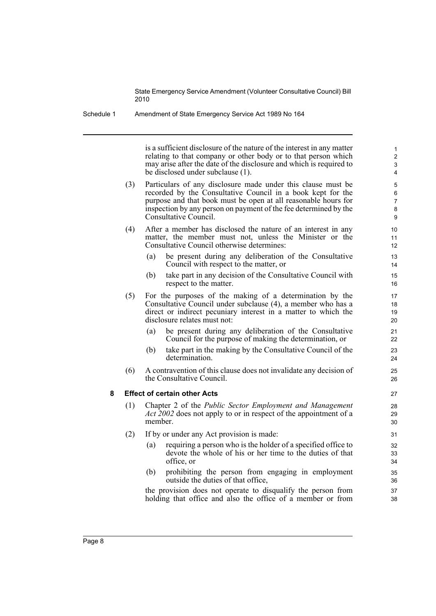Schedule 1 Amendment of State Emergency Service Act 1989 No 164

is a sufficient disclosure of the nature of the interest in any matter relating to that company or other body or to that person which may arise after the date of the disclosure and which is required to be disclosed under subclause (1).

- (3) Particulars of any disclosure made under this clause must be recorded by the Consultative Council in a book kept for the purpose and that book must be open at all reasonable hours for inspection by any person on payment of the fee determined by the Consultative Council.
- (4) After a member has disclosed the nature of an interest in any matter, the member must not, unless the Minister or the Consultative Council otherwise determines:
	- (a) be present during any deliberation of the Consultative Council with respect to the matter, or
	- (b) take part in any decision of the Consultative Council with respect to the matter.
- (5) For the purposes of the making of a determination by the Consultative Council under subclause (4), a member who has a direct or indirect pecuniary interest in a matter to which the disclosure relates must not:
	- (a) be present during any deliberation of the Consultative Council for the purpose of making the determination, or
	- (b) take part in the making by the Consultative Council of the determination.
- (6) A contravention of this clause does not invalidate any decision of the Consultative Council.

#### **8 Effect of certain other Acts**

- (1) Chapter 2 of the *Public Sector Employment and Management Act 2002* does not apply to or in respect of the appointment of a member.
- (2) If by or under any Act provision is made:
	- (a) requiring a person who is the holder of a specified office to devote the whole of his or her time to the duties of that office, or
	- (b) prohibiting the person from engaging in employment outside the duties of that office,

the provision does not operate to disqualify the person from holding that office and also the office of a member or from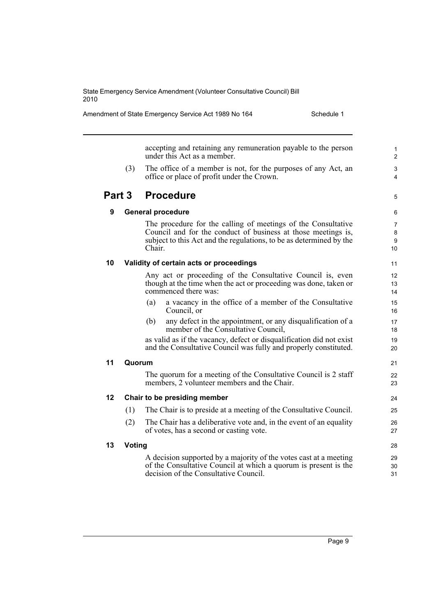Amendment of State Emergency Service Act 1989 No 164 Schedule 1

accepting and retaining any remuneration payable to the person under this Act as a member. (3) The office of a member is not, for the purposes of any Act, an office or place of profit under the Crown. **Part 3 Procedure 9 General procedure** The procedure for the calling of meetings of the Consultative Council and for the conduct of business at those meetings is, subject to this Act and the regulations, to be as determined by the Chair. **10 Validity of certain acts or proceedings** Any act or proceeding of the Consultative Council is, even though at the time when the act or proceeding was done, taken or commenced there was: (a) a vacancy in the office of a member of the Consultative Council, or (b) any defect in the appointment, or any disqualification of a member of the Consultative Council, as valid as if the vacancy, defect or disqualification did not exist and the Consultative Council was fully and properly constituted. **11 Quorum** The quorum for a meeting of the Consultative Council is 2 staff members, 2 volunteer members and the Chair. **12 Chair to be presiding member** (1) The Chair is to preside at a meeting of the Consultative Council. (2) The Chair has a deliberative vote and, in the event of an equality of votes, has a second or casting vote. **13 Voting** A decision supported by a majority of the votes cast at a meeting of the Consultative Council at which a quorum is present is the decision of the Consultative Council. 1 2 3 4 5 6 7 8 9 10 11 12 13 14 15 16 17 18 19 20 21  $22$ 23 24 25 26 27 28 29 30 31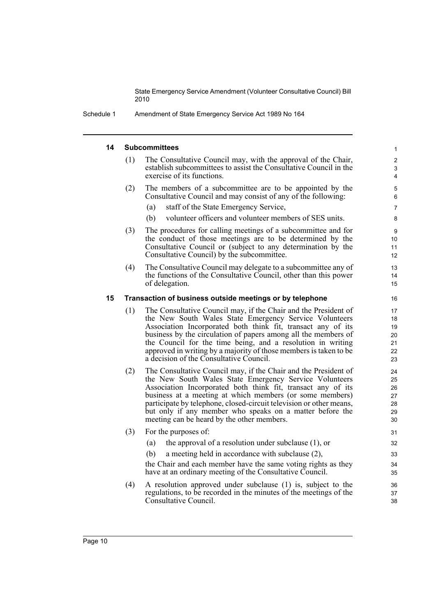Schedule 1 Amendment of State Emergency Service Act 1989 No 164

#### **14 Subcommittees**

| The Consultative Council may, with the approval of the Chair,<br>establish subcommittees to assist the Consultative Council in the<br>exercise of its functions. |  |
|------------------------------------------------------------------------------------------------------------------------------------------------------------------|--|
| The members of a subcommittee are to be enpointed by the                                                                                                         |  |

- (2) The members of a subcommittee are to be appointed by the Consultative Council and may consist of any of the following:
	- (a) staff of the State Emergency Service,
	- (b) volunteer officers and volunteer members of SES units.
- (3) The procedures for calling meetings of a subcommittee and for the conduct of those meetings are to be determined by the Consultative Council or (subject to any determination by the Consultative Council) by the subcommittee.
- (4) The Consultative Council may delegate to a subcommittee any of the functions of the Consultative Council, other than this power of delegation.

#### **15 Transaction of business outside meetings or by telephone**

- (1) The Consultative Council may, if the Chair and the President of the New South Wales State Emergency Service Volunteers Association Incorporated both think fit, transact any of its business by the circulation of papers among all the members of the Council for the time being, and a resolution in writing approved in writing by a majority of those members is taken to be a decision of the Consultative Council.
- (2) The Consultative Council may, if the Chair and the President of the New South Wales State Emergency Service Volunteers Association Incorporated both think fit, transact any of its business at a meeting at which members (or some members) participate by telephone, closed-circuit television or other means, but only if any member who speaks on a matter before the meeting can be heard by the other members.
- (3) For the purposes of:
	- (a) the approval of a resolution under subclause (1), or
	- (b) a meeting held in accordance with subclause (2),
	- the Chair and each member have the same voting rights as they have at an ordinary meeting of the Consultative Council.
- (4) A resolution approved under subclause (1) is, subject to the regulations, to be recorded in the minutes of the meetings of the Consultative Council.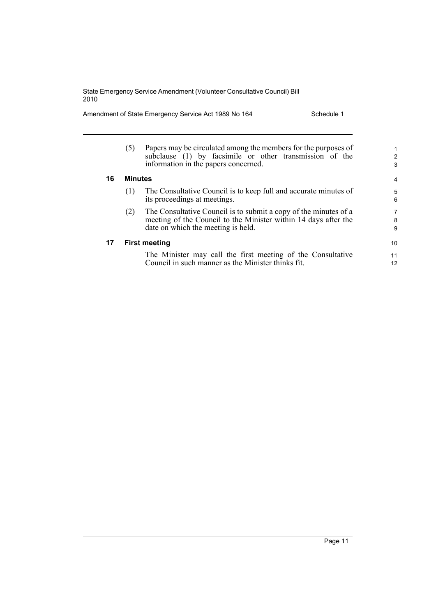Amendment of State Emergency Service Act 1989 No 164 Schedule 1

|    | (5)            | Papers may be circulated among the members for the purposes of<br>subclause (1) by facsimile or other transmission of the<br>information in the papers concerned.         | 1.<br>2<br>3 |
|----|----------------|---------------------------------------------------------------------------------------------------------------------------------------------------------------------------|--------------|
| 16 | <b>Minutes</b> |                                                                                                                                                                           | 4            |
|    | (1)            | The Consultative Council is to keep full and accurate minutes of<br>its proceedings at meetings.                                                                          | 5<br>6       |
|    | (2)            | The Consultative Council is to submit a copy of the minutes of a<br>meeting of the Council to the Minister within 14 days after the<br>date on which the meeting is held. | 7<br>8<br>9  |
| 17 |                | <b>First meeting</b>                                                                                                                                                      | 10           |
|    |                | The Minister may call the first meeting of the Consultative<br>Council in such manner as the Minister thinks fit.                                                         | 11<br>12     |

Page 11